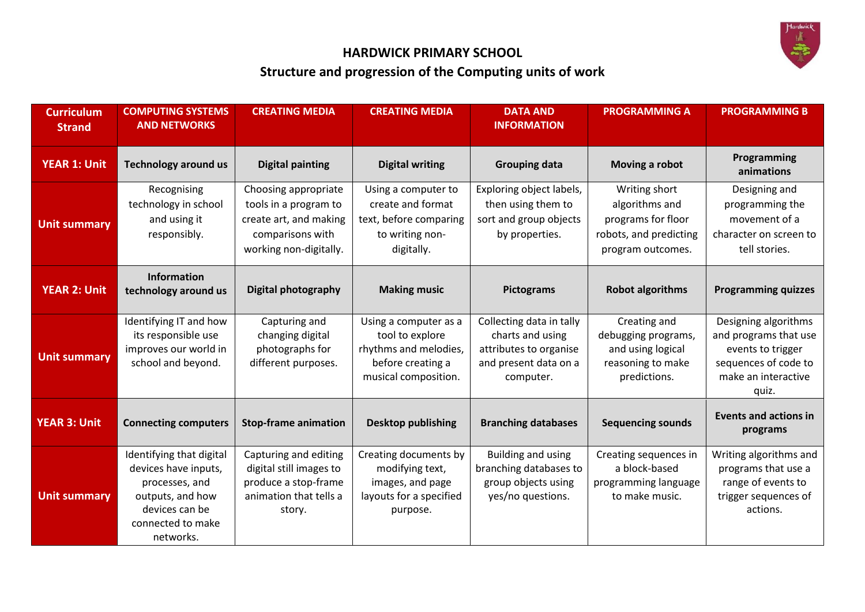

# **HARDWICK PRIMARY SCHOOL Structure and progression of the Computing units of work**

| <b>Curriculum</b><br><b>Strand</b> | <b>COMPUTING SYSTEMS</b><br><b>AND NETWORKS</b>                                                                                            | <b>CREATING MEDIA</b>                                                                                                 | <b>CREATING MEDIA</b>                                                                                          | <b>DATA AND</b><br><b>INFORMATION</b>                                                                        | <b>PROGRAMMING A</b>                                                                                 | <b>PROGRAMMING B</b>                                                                                                       |
|------------------------------------|--------------------------------------------------------------------------------------------------------------------------------------------|-----------------------------------------------------------------------------------------------------------------------|----------------------------------------------------------------------------------------------------------------|--------------------------------------------------------------------------------------------------------------|------------------------------------------------------------------------------------------------------|----------------------------------------------------------------------------------------------------------------------------|
| <b>YEAR 1: Unit</b>                | <b>Technology around us</b>                                                                                                                | <b>Digital painting</b>                                                                                               | <b>Digital writing</b>                                                                                         | <b>Grouping data</b>                                                                                         | Moving a robot                                                                                       | Programming<br>animations                                                                                                  |
| <b>Unit summary</b>                | Recognising<br>technology in school<br>and using it<br>responsibly.                                                                        | Choosing appropriate<br>tools in a program to<br>create art, and making<br>comparisons with<br>working non-digitally. | Using a computer to<br>create and format<br>text, before comparing<br>to writing non-<br>digitally.            | Exploring object labels,<br>then using them to<br>sort and group objects<br>by properties.                   | Writing short<br>algorithms and<br>programs for floor<br>robots, and predicting<br>program outcomes. | Designing and<br>programming the<br>movement of a<br>character on screen to<br>tell stories.                               |
| <b>YEAR 2: Unit</b>                | <b>Information</b><br>technology around us                                                                                                 | <b>Digital photography</b>                                                                                            | <b>Making music</b>                                                                                            | <b>Pictograms</b>                                                                                            | <b>Robot algorithms</b>                                                                              | <b>Programming quizzes</b>                                                                                                 |
| <b>Unit summary</b>                | Identifying IT and how<br>its responsible use<br>improves our world in<br>school and beyond.                                               | Capturing and<br>changing digital<br>photographs for<br>different purposes.                                           | Using a computer as a<br>tool to explore<br>rhythms and melodies,<br>before creating a<br>musical composition. | Collecting data in tally<br>charts and using<br>attributes to organise<br>and present data on a<br>computer. | Creating and<br>debugging programs,<br>and using logical<br>reasoning to make<br>predictions.        | Designing algorithms<br>and programs that use<br>events to trigger<br>sequences of code to<br>make an interactive<br>quiz. |
| <b>YEAR 3: Unit</b>                | <b>Connecting computers</b>                                                                                                                | <b>Stop-frame animation</b>                                                                                           | <b>Desktop publishing</b>                                                                                      | <b>Branching databases</b>                                                                                   | <b>Sequencing sounds</b>                                                                             | <b>Events and actions in</b><br>programs                                                                                   |
| <b>Unit summary</b>                | Identifying that digital<br>devices have inputs,<br>processes, and<br>outputs, and how<br>devices can be<br>connected to make<br>networks. | Capturing and editing<br>digital still images to<br>produce a stop-frame<br>animation that tells a<br>story.          | Creating documents by<br>modifying text,<br>images, and page<br>layouts for a specified<br>purpose.            | <b>Building and using</b><br>branching databases to<br>group objects using<br>yes/no questions.              | Creating sequences in<br>a block-based<br>programming language<br>to make music.                     | Writing algorithms and<br>programs that use a<br>range of events to<br>trigger sequences of<br>actions.                    |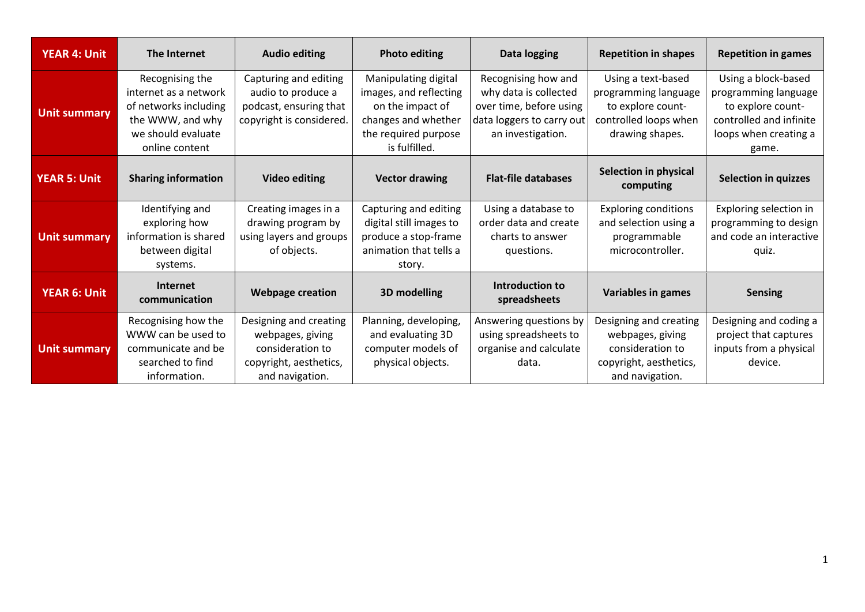| <b>YEAR 4: Unit</b> | The Internet                                                                                                                  | <b>Audio editing</b>                                                                                        | <b>Photo editing</b>                                                                                                               | Data logging                                                                                                              | <b>Repetition in shapes</b>                                                                                 | <b>Repetition in games</b>                                                                                                    |
|---------------------|-------------------------------------------------------------------------------------------------------------------------------|-------------------------------------------------------------------------------------------------------------|------------------------------------------------------------------------------------------------------------------------------------|---------------------------------------------------------------------------------------------------------------------------|-------------------------------------------------------------------------------------------------------------|-------------------------------------------------------------------------------------------------------------------------------|
| <b>Unit summary</b> | Recognising the<br>internet as a network<br>of networks including<br>the WWW, and why<br>we should evaluate<br>online content | Capturing and editing<br>audio to produce a<br>podcast, ensuring that<br>copyright is considered.           | Manipulating digital<br>images, and reflecting<br>on the impact of<br>changes and whether<br>the required purpose<br>is fulfilled. | Recognising how and<br>why data is collected<br>over time, before using<br>data loggers to carry out<br>an investigation. | Using a text-based<br>programming language<br>to explore count-<br>controlled loops when<br>drawing shapes. | Using a block-based<br>programming language<br>to explore count-<br>controlled and infinite<br>loops when creating a<br>game. |
| <b>YEAR 5: Unit</b> | <b>Sharing information</b>                                                                                                    | <b>Video editing</b>                                                                                        | <b>Vector drawing</b>                                                                                                              | <b>Flat-file databases</b>                                                                                                | <b>Selection in physical</b><br>computing                                                                   | <b>Selection in quizzes</b>                                                                                                   |
| <b>Unit summary</b> | Identifying and<br>exploring how<br>information is shared<br>between digital<br>systems.                                      | Creating images in a<br>drawing program by<br>using layers and groups<br>of objects.                        | Capturing and editing<br>digital still images to<br>produce a stop-frame<br>animation that tells a<br>story.                       | Using a database to<br>order data and create<br>charts to answer<br>questions.                                            | <b>Exploring conditions</b><br>and selection using a<br>programmable<br>microcontroller.                    | Exploring selection in<br>programming to design<br>and code an interactive<br>quiz.                                           |
| <b>YEAR 6: Unit</b> | <b>Internet</b><br>communication                                                                                              | <b>Webpage creation</b>                                                                                     | <b>3D modelling</b>                                                                                                                | Introduction to<br>spreadsheets                                                                                           | <b>Variables in games</b>                                                                                   | <b>Sensing</b>                                                                                                                |
| <b>Unit summary</b> | Recognising how the<br>WWW can be used to<br>communicate and be<br>searched to find<br>information.                           | Designing and creating<br>webpages, giving<br>consideration to<br>copyright, aesthetics,<br>and navigation. | Planning, developing,<br>and evaluating 3D<br>computer models of<br>physical objects.                                              | Answering questions by<br>using spreadsheets to<br>organise and calculate<br>data.                                        | Designing and creating<br>webpages, giving<br>consideration to<br>copyright, aesthetics,<br>and navigation. | Designing and coding a<br>project that captures<br>inputs from a physical<br>device.                                          |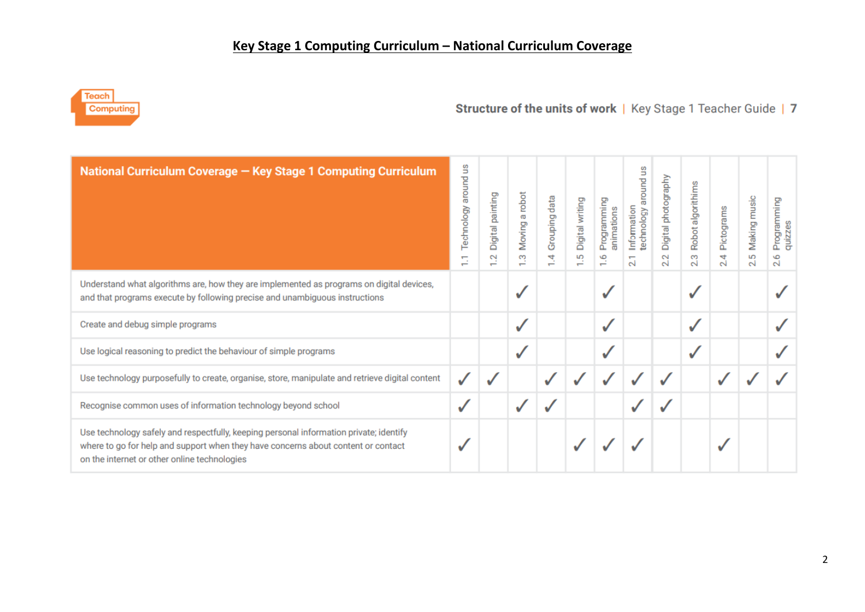

## Structure of the units of work | Key Stage 1 Teacher Guide | 7

| National Curriculum Coverage - Key Stage 1 Computing Curriculum                                                                                                                                                             | S<br>around u<br>Technology<br>$\overline{\phantom{0}}$<br>$\overline{\phantom{0}}$ | painting<br>Digital<br>$\sim$ | robot<br>ത<br>Moving<br>S<br>$\overline{\phantom{0}}$ | data<br>Grouping<br>4 | Digital writing<br>5<br>$\blacksquare$ | Programming<br>animations<br>ڡ<br>$\div$ | Ξ<br>around<br>Information<br>technology<br>$\mathbf{N}$ | Digital photography<br>$\sim$<br>N | Robot algorithims<br>3<br>N | Pictograms<br>4<br>N | Making music<br>5<br>N | Programming<br>quizzes<br>ڡ<br>N |
|-----------------------------------------------------------------------------------------------------------------------------------------------------------------------------------------------------------------------------|-------------------------------------------------------------------------------------|-------------------------------|-------------------------------------------------------|-----------------------|----------------------------------------|------------------------------------------|----------------------------------------------------------|------------------------------------|-----------------------------|----------------------|------------------------|----------------------------------|
| Understand what algorithms are, how they are implemented as programs on digital devices,<br>and that programs execute by following precise and unambiguous instructions                                                     |                                                                                     |                               |                                                       |                       |                                        |                                          |                                                          |                                    |                             |                      |                        |                                  |
| Create and debug simple programs                                                                                                                                                                                            |                                                                                     |                               |                                                       |                       |                                        |                                          |                                                          |                                    |                             |                      |                        |                                  |
| Use logical reasoning to predict the behaviour of simple programs                                                                                                                                                           |                                                                                     |                               |                                                       |                       |                                        |                                          |                                                          |                                    |                             |                      |                        |                                  |
| Use technology purposefully to create, organise, store, manipulate and retrieve digital content                                                                                                                             | ✓                                                                                   |                               |                                                       |                       |                                        |                                          |                                                          |                                    |                             |                      |                        |                                  |
| Recognise common uses of information technology beyond school                                                                                                                                                               | ✓                                                                                   |                               |                                                       |                       |                                        |                                          |                                                          |                                    |                             |                      |                        |                                  |
| Use technology safely and respectfully, keeping personal information private; identify<br>where to go for help and support when they have concerns about content or contact<br>on the internet or other online technologies |                                                                                     |                               |                                                       |                       |                                        |                                          |                                                          |                                    |                             |                      |                        |                                  |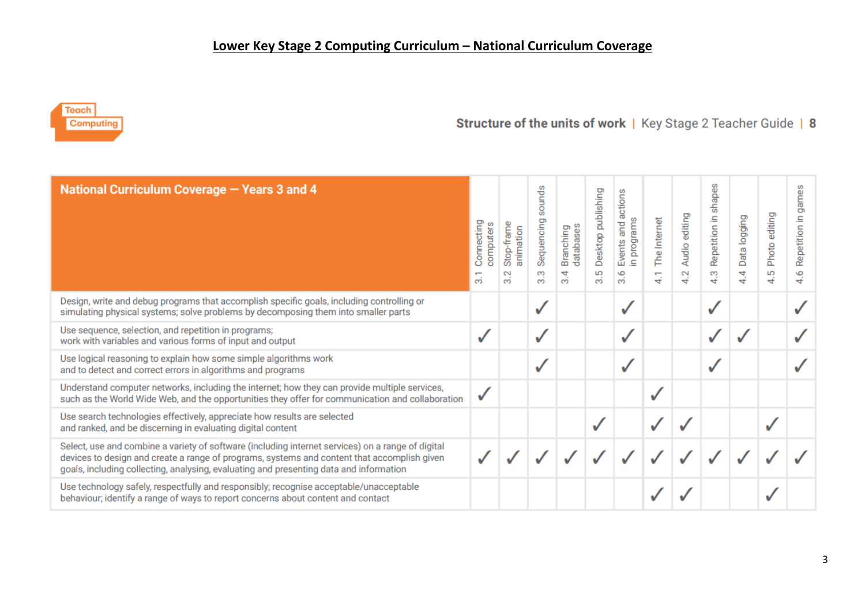## **Lower Key Stage 2 Computing Curriculum – National Curriculum Coverage**



# Structure of the units of work | Key Stage 2 Teacher Guide | 8

| National Curriculum Coverage - Years 3 and 4                                                                                                                                                                                                                                               | Connecting<br>computers<br>ത് | Stop-frame<br>animation<br>$\sim$<br>ത് | sounds<br>Sequencing<br>S<br>ത് | Branching<br>databases<br>$\frac{4}{3}$ | Desktop publishing<br>5<br>ഩൎ | actions<br>in programs<br>Events and<br>3.6 | The Internet<br>↔ | Audio editing<br>$\sim$<br>ಈ | shapes<br>크.<br>Repetition<br>S<br>÷ | Data logging<br>4<br>ਚ | editing<br>Photo<br>S<br>ಈ | ame:<br>ö<br>Ξ.<br>Repetition<br>6<br>₹ |
|--------------------------------------------------------------------------------------------------------------------------------------------------------------------------------------------------------------------------------------------------------------------------------------------|-------------------------------|-----------------------------------------|---------------------------------|-----------------------------------------|-------------------------------|---------------------------------------------|-------------------|------------------------------|--------------------------------------|------------------------|----------------------------|-----------------------------------------|
| Design, write and debug programs that accomplish specific goals, including controlling or<br>simulating physical systems; solve problems by decomposing them into smaller parts                                                                                                            |                               |                                         |                                 |                                         |                               | ✓                                           |                   |                              |                                      |                        |                            |                                         |
| Use sequence, selection, and repetition in programs;<br>work with variables and various forms of input and output                                                                                                                                                                          | ✓                             |                                         | v                               |                                         |                               | √                                           |                   |                              |                                      |                        |                            |                                         |
| Use logical reasoning to explain how some simple algorithms work<br>and to detect and correct errors in algorithms and programs                                                                                                                                                            |                               |                                         |                                 |                                         |                               | ✓                                           |                   |                              |                                      |                        |                            |                                         |
| Understand computer networks, including the internet; how they can provide multiple services,<br>such as the World Wide Web, and the opportunities they offer for communication and collaboration                                                                                          | $\checkmark$                  |                                         |                                 |                                         |                               |                                             |                   |                              |                                      |                        |                            |                                         |
| Use search technologies effectively, appreciate how results are selected<br>and ranked, and be discerning in evaluating digital content                                                                                                                                                    |                               |                                         |                                 |                                         |                               |                                             |                   |                              |                                      |                        |                            |                                         |
| Select, use and combine a variety of software (including internet services) on a range of digital<br>devices to design and create a range of programs, systems and content that accomplish given<br>goals, including collecting, analysing, evaluating and presenting data and information |                               |                                         |                                 |                                         |                               |                                             |                   |                              |                                      |                        |                            |                                         |
| Use technology safely, respectfully and responsibly; recognise acceptable/unacceptable<br>behaviour; identify a range of ways to report concerns about content and contact                                                                                                                 |                               |                                         |                                 |                                         |                               |                                             |                   |                              |                                      |                        |                            |                                         |